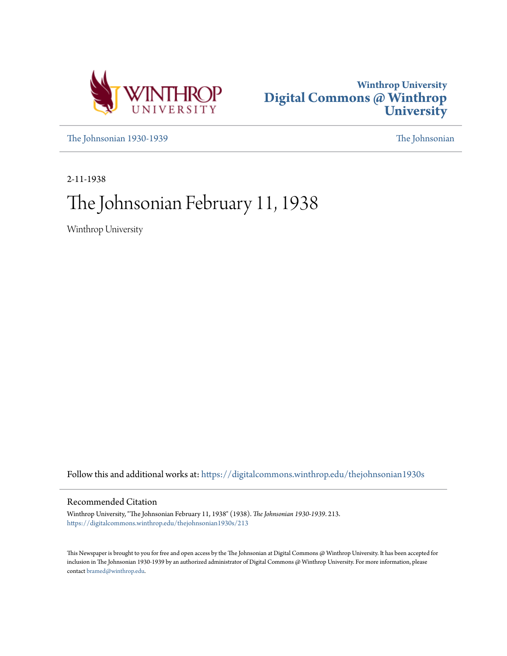



[The Johnsonian 1930-1939](https://digitalcommons.winthrop.edu/thejohnsonian1930s?utm_source=digitalcommons.winthrop.edu%2Fthejohnsonian1930s%2F213&utm_medium=PDF&utm_campaign=PDFCoverPages) [The Johnsonian](https://digitalcommons.winthrop.edu/thejohnsonian_newspaper?utm_source=digitalcommons.winthrop.edu%2Fthejohnsonian1930s%2F213&utm_medium=PDF&utm_campaign=PDFCoverPages)

2-11-1938

# The Johnsonian February 11, 1938

Winthrop University

Follow this and additional works at: [https://digitalcommons.winthrop.edu/thejohnsonian1930s](https://digitalcommons.winthrop.edu/thejohnsonian1930s?utm_source=digitalcommons.winthrop.edu%2Fthejohnsonian1930s%2F213&utm_medium=PDF&utm_campaign=PDFCoverPages)

## Recommended Citation

Winthrop University, "The Johnsonian February 11, 1938" (1938). *The Johnsonian 1930-1939*. 213. [https://digitalcommons.winthrop.edu/thejohnsonian1930s/213](https://digitalcommons.winthrop.edu/thejohnsonian1930s/213?utm_source=digitalcommons.winthrop.edu%2Fthejohnsonian1930s%2F213&utm_medium=PDF&utm_campaign=PDFCoverPages)

This Newspaper is brought to you for free and open access by the The Johnsonian at Digital Commons @ Winthrop University. It has been accepted for inclusion in The Johnsonian 1930-1939 by an authorized administrator of Digital Commons @ Winthrop University. For more information, please contact [bramed@winthrop.edu](mailto:bramed@winthrop.edu).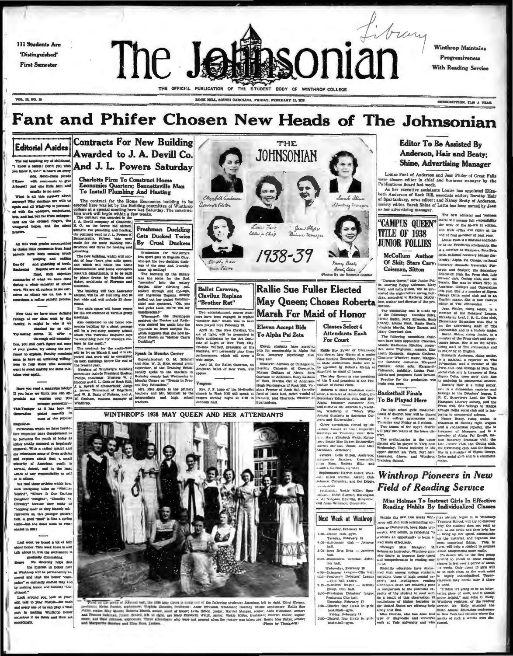111 Students Are 'Distinguished' **First Semester** 



**Winthrop Maintains** Progressiveness With Reading Service

VOL. 15, NO. 15

SUBSCRIPTION, SLO A TRAB

its will assume full response

Louise Pant is a marshal and hold-

is a member of Masquers; Beta Beta

nsibility

## Fant and Phifer Chosen New Heads of The Johnsonian

**THE** 

**JOHNSONIAN** 

Jean Philes

e monsaci

鱼

## **Editorial Asides**

The old taunting cry of ci ew it, too!" is heard on eve

ou since a side. Room-make pleads<br>aide. Room-make to give<br>descript and one little host and<br>descript had one little host and<br>what is all this mystery about<br>myway? Why clusticans are with us<br>gain and all Winkings is permoad-

ed with the whispers, conjeand last but far from unknpo ed fingers, the hopes, and the

All this week grades as nments from fond the have been canning much weeping and walking

Reports are so sort of tes of what we have do

during a whole semester of school as others see us, but it is

that we have some of

Mow that we have some one annual strain<br>ratings of our chase work by the factory. It might be wise if we<br>factory. It might be wise if we<br>proposed uncompatible post one of<br>the proposition of your guide, try adding the pro-<br>

explain. Paculty member m to have an unfatting willing to help those who sincere

Have you read a magazine lately? J. A. Spreill of Chesterfield; Jud<br>
If you have we think you can ap-1 3. Stream and of Edge<br>
If you have we think you can ap-1 3. Stream and of Edge<br>
Spredike our correct correct paid and W

younger generation-<br>
Yesuger as it has been de-<br>
senates pieted recently in most of the popula

als which we have hereto dated w inve compounded us by picturing the youth of today as<br>either totally unmoral or hopelessly<br>thanously. With a rather quaint and now reliations lars respected have disapreluctance some of these article; contrastes and a stress and the stress and a strain minority of American youth is<br>normal, detent, and in the least<br>aware of any responsibility to self

We read these articles which best eh intriguing titles as "Whither<br>outh?", "Where Is Our Darling<br>aughter Tonight?", "Chastily va phier Tonight?", "Chastily vs.<br>ukry" kecause they make us opping mad" as they blandly mis-<br>present us, this younger genera-<br>on. A good "mad" is like a spring ut the doses must be resu

Last week we beard a let of tall<br>about homor. This week there is still talk about it, but the excitement is<br>gradually diminicaling.<br> $\label{eq:2.1} We have a nontrivial solution.$  We shower<br>it hose when the interest in honor here the interest in hon

at Winthrop will be permanently re ed and that the honor "cam<br>gn" so earnestly started may en by making honor and honesty "tra  $\cdots$ 

ok around you, lonk at yourself, talk to your friends-for each part in main in making Winthrop honor

## Awarded to J. A. Devill Co. mel Don't you wish And J. L. Powers Saturday

**Contracts For New Building** 

**Charlotte Firm To Construct Hon** Economics Quarters; Bennettsville Man<br>To Install Plumbing And Heating

The contract for the Home Economics building to be<br>receled here was let by the Building connuities of Winthrop<br>college at a special meeting here last Saturday. The construction work will begin within a few veeks.<br>The cons

1500 WORK Will Degin within a big the contract was awarded to the M. A. Devil company of Charlotte, 3500,470. Per planetic M. C., on the lowest bid offered, 2000,470. Per planetic within a path of the contract went to J. L Freshman Duckling **Gets Ducked Twice** By Cruel Duckees

N'emization for Wintlerson's Marian Carrier and Superint Carrier and the space and the space and the space and the space and the space and the space was the neutral constant by the linear variance of the space of the spac

phasing, which will consider the area building, which will consist<br>and of four floors plus attle space, and which will house the home<br>demonstration and home concorder.<br>research departments, ta to be built by plants drawn The building will face Lancaster<br>avenue, will be 45 feet long and 94<br>feet wide and will include 33 class-

And the same state of the convenience of the property of the same state is a specific to the convenience of the same state as a specific to the convenience of the same state as a specific to the convenience of the conveni



Editor in Chief

Elizabeth Centerson

Cassociate Editor

WINTHROP'S 1938 MAY QUEEN AND HER ATTENDANTS

Fored up the porth of Johnson ball, the 1988 has clear to company of the following students: Standarp, left to right, Ethel Steper, From an Easy partie of content data has been the content of the content of the product of the product in the state of the state of the state of the state of the state of the state of the state of the state of the state of



**Jehol** on, Jefferson;

- hell.
- Wednesday, February 10
- 
- 
- 
- 
- 

## **Editor To Be Assisted By** Anderson, Hair and Beaty: **Shine, Advertising Manager**

Louise Fant of Anderson and Jean Phifer of Great Falls were chose<br>Publice chosen editor in chief and business manager by the

As her executive assistants Louise has appointed Eliz As her executive assumes a nouse use appearing the Anderson of Rock Hill, associate editor; Develhy Hair of Spartanburg, news editor; and Nancy Beaty of Anderson, society editor. Sarah Shine of Latta has been named by Jean as her advertising manager. The new editorial and bush



McCollum Author

McCollum Author States (since the state of the Section 1997)<br>
Of Skitt, Stars Cary, innormy dynamic fractions, The<br>
Colemany States (since the state of the state of the state of the<br>
metric of the state of the state of th

# is Estatistical annual of honor. The mannihic publicity, Louise Paistics and the previous control of the property of the property of the property of the property of the property of the property of the property of the prop First the production will imagina neural terms, town gars out, one-<br>
Fraction for the production will is majoring in commercial actions.<br>
Borothy Hair is a rising senior,<br>
Sinc is a Johnsonian reporter and

eges and Diarrerations .<br>
Ciber niterations elected by the<br>
artists cases at their respective<br>
incitings on Taurathy were: Sen-<br>
i.e., Mary Ehrabeth Weich, Kinga-<br>
rec; Bessie Mae Baker, Bishopville;

el Morean, Union; and Alice

and **Winthrop Pioneers in New** 

- 
- 
- 
- 
- 
- 

Reading Hahita By Individualized Chases<br>
winnis the next two weeks win-based windows genus it in whatesy as a narious<br>
and with properties of the state of the state of the state of the state<br>
and state in the state of the

Miss Holmes To Instruct Girls In Effective<br>Reading Hahits By Individualized Classes

Sensonon: Sensonon: Anderson;<br>
Jambora: Leila Bliton, Anderson;<br>
arguerite Sandera, Greenville,<br>
Lan Huas, Boclety Hill; and<br>
Laic s Coleman, 115 man; e's Colleman, alyman;<br>homores: Harriet Culler, Wolf-<br>Hilen Pardue, Aiken; Gale<br>son, Columbia; and Dol Dibble, **Field of Reading Service** Accessions<br>Retainment Vackle Miller,<br>Richard: Ethel Shevier, Barl<br>J. J.: Virgann Gourdin, King

Sarah Shine'

viducting in anages

hanny Beaty

Isawing Colitor

Next Week at Winthrop

- 
- S:30--Womanicas wedding, John-<br>son hall.
	-
	-
	-
- 
- 
- 

S:60-Bets Bets Brts - Johnso

- -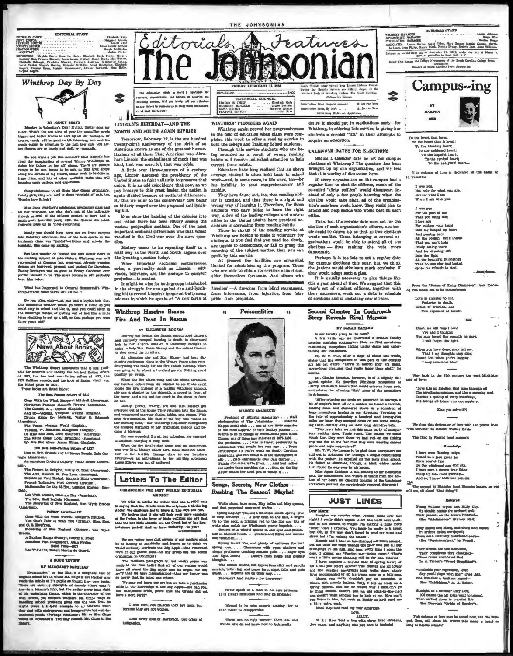



BY NANCY BEATY Membey in Valentine's Day! Printer, fluiter goes my<br>mean-r. That it the one kims of year the position needs of the condition<br>sugger and better tracks to eart up all the packages. Of<br>sums, candy will be pool to bit fluiten

De you want a job this summer? Miss Rogarth has<br>fired the inangloation of geveral Winnie Winkings on<br>doing big things in far off places. There are always<br>camps to be run, books to be sold in tiny book shops e streets of big resorts, social work to be do one's outlook and experie

Congratulations to all these May Queen attendants.<br>vely girls, they are. And to those "straight A" gala, too,<br>under how it fests?

Miss Jane Wardlaw's adolescent psychology class and all her froshmen are glad she's out of the infirmary incords several of the officers second to have hed a much more beautiful party with the flow res abe rated. Pollyans

kelly you should have been out on front campus<br>Saiurday afternoon. One of the best sports in the<br>man class was "pooted"—clothes and all—in the<br>sin. She came up smiling. ate Sa

But let's wander on heyond our own newsy news to<br>the exciting majore: of mid-rinkers. Winthougo was well-<br>represented at Germon lest week-end. Already eventing<br>research at Germon lest week-end. Already eventing<br>bunny ferri

What has happened to General Summerall's Win-<br>op-Citadel club? We're still all for it.

De you often wish-that as not it.<br>Is wonderful weakher weakd go under a cloud so you as nonderful weakher weakd go under a cloud so you<br>and stay in sched and like it, that you could sleep in a moralized of puling out of b



The Winthrop library announces that it has available for such<br>that it has a received and faculty the ten heat fitting selection of<br> $337$ , the ten heat non-fiction as<br>liers of  $137$ , the Pauliner ewants, and the book of fi

The Best Fiellon Sellers of 1837

rem seas reunes museum contra del differente Michell (American<br>Northwest Panange, Ernstein Noberta (American)<br>The Gladell, A. J. Cronin (English), The Gladell, A. J. Cronin (English), And So-Victoria, Vaughan Wilkias (Engl

nerican).<br>The Years, Virginia Woolf (English).<br>Thealra, W. Somerset Maugham (English).<br>Of Mice and Mira, John Stanbeck (American).<br>The Rains Came, Louis Bromfield (American).<br>We Are Not Alone, James Rillon (English).

The Best Nen-Fiction Sellers of 1937<br>w to Win Friends and Influence People, Da

seriosn Doctor's Odyasey, Victor Heiser (A

).<br>The Ratturn to Religion, Kenry C. Link (American).<br>The Arts, Hendrik W. Van Loon (American).<br>Oruhida on Your Budget, Marjorio Hillis (American).<br>Present Ledicative, Neel Coward (Elingtin).<br>Mailemanics for the Million, L

).<br>Lide With Mother, Clarence Day (American).<br>The Nile, Emil Ludwig (Cerman).<br>The Flowering of Nvw England, Van Wysk Bro

Fulliser Awards-1937<br>Tom Wind Chovel), Margaret Mitchell<br>Tom Cast Take B: With Tou (Urama), Moss Hart<br>and C. S. Maufman. d G. S. Kaulush.<br>Plowering of New England (Eistery), Van Wych

osa.<br>A Further Ranga (Poetry), Robert S. Pro<br>Hamilton Fish (Biography), Allan Nevina.<br>Nebal Prim--1937<br>Les Thibanits, Robert Martin du Cuard.

## A BOOK BEVIEW

BY MAMGARET MONILLAN

 $\label{eq:20} \begin{tabular}{p{0.85\textwidth}} \hline & \textbf{B} & \textbf{M} & \textbf{M} & \textbf{M} & \textbf{M} & \textbf{M} & \textbf{M} & \textbf{M} & \textbf{M} & \textbf{M} & \textbf{M} & \textbf{M} & \textbf{M} & \textbf{M} & \textbf{M} & \textbf{M} & \textbf{M} & \textbf{M} & \textbf{M} & \textbf{M} & \textbf{M} & \textbf{M} & \textbf{M} & \textbf{M} & \textbf{M} & \textbf{M} & \textbf{M} & \textbf$ 



NORTH AND SOUTH AGAIN DIVIDED

Tomorrow, February 12, is the one hundred state the birth of an aniversary of the birth of an aniversary of the birth of an anti-<br>tarians of all time. That American was Abraham Lincoln, the embodiment of much that was kind, that was merciful, that was noble.

A little over three-quarters of a century A little over three-quarters or a century<br>ago, Lincoln assumed the presidency of the United States to fight valuativy to preserve that<br>union. It is an odd coincidence that now, an we<br>pay homage to this great leader, the na bitterly waged over the proposed anti-lynching bill.

Ever since the banding of the colonies into ever since the osimular or the conduct one nation there has been rivalry among the various geographic sections. One of the most important sectional differences was that which resulted in the Givil war over the slave question.

History seems to he repeating itself in a<br>mild way as the North and South argues over the lynching question today. When important sectional controversies

arise, a personality such as Lincoln -- with<br>vision, tolerance, and the courage to conquer<br>prejudice----is needed.

prejudice---is needed.<br>
It might be wise for both groups interlocked<br>
in the struggle for and against the anti-lynch-<br>
ing hill to reread Lincoln's immortal Gettyshurg<br>
address in which he speaks of "A new birth of

Winthrop Heroine Braves Fire And Dean In Rescue

BY ELIZABETH ROGERS

All attentions about the and Mrs. Manny had been discussing conference plans in the Wesley Foundation room.<br>Everything was ready for the five o'clock meeting. There we<br>a princy to be about a hundred guests. Nothing could<br>r ibly go wrong

When the fire afterm rang and the sirens acreanced,<br>our beroise looked from the window to see if she could<br>locate the fire. Instead of a blazing Winkingo campex,<br>add she saw a stadent on the aidening, whichingo campex,<br>the

Calmly, quietly, bravely, she and Mrs. Massey got Cammy, queva, neweg, aon ana amin. Massey gwe<br>evryone out of the house. They returned into the flames<br>and reappeared carrying chairs, tables, and planos, With<br>grim determination, like that of the buy who "stood on the<br>the

She was wounded, Burnt, but unbeaten, abe esserged<br>triumphant carrying a song book!

when the first finally ded down and the excitement<br>was over Mrs. Maxey called Mrs. Eats Hardin's atten-<br>tion to the terrible damage down to come heroine to<br>swater--As an anti-climax to her exciting afornoon m Ellerbe was out of uniform

## **Letters To The Editor**

CORRECTION FOR LAST WEEK'S EDITORIAL

We wish to advise the writer that also is  $1007$  and<br>a in surjuge that the Greeks were the off-plane adjoint Big and Apple. We challenge have to prove it. She may<br>a case that the  $\sqrt{10}$  believe that it is not be proved

We are rather hurt that anyone of our readers could<br>be so lacking in annitivity and humor as to think we<br>would scries<br>furthely attribute the Big Apple—that renowned<br>furthed our native siste—to any group but the actual<br>orig

originates in Columbia<br>1 control and proper was considered as the first paper was made in the firm helief that all of our readers would<br>know all about the Big Apple and its origin. We are<br>sory that we were naturalesticed—t

We may not know our art but we take a rardonable pride in our knowledge of the Hig Apple-and oan you, our however and one you, have a word for  $\mathbb H$ 

I love men, not be, auto they are men, but<br>because they are not women.

Love never dies of starvation, but often of

stores the Regular Sesson the Official transmit Body of Worthrop College, The South<br>Student Body of Worthrop College In Numeri

both the college and Training School students.<br>Through this service students who are be-<br>ing retarded as a result of wrong reading<br>habits will receive individual attention to help<br>correct these habits.

Educators have long realized that an abo

equentors have long realized that an above

work-and, in some cases, in life work, too-by<br>his inability to read comprehensively and

They have found out, too, that reading ability is acquired and that there is a right and wrong way of learning it. Therefore, for those students who have folled to the

way, a few of the leading colleges and univer-<br>sities in the United States have provided as-

sites in the butter description of the state of the reading habits.<br>Those in correcting these reading service at vinituro are hoping to a make it voluntary or students. If you feel that you read too slowly,

are unable to concentrate, or fall to grasp the<br>meaning of the subject matter, then you can

pront by cause are the facilities are somewhat<br>limited for administering this program. Those<br>who are able to obtain its services should con-

freedom"-A freedom from blind resentment, from intolerance, from injustice, from false<br>pride, from prejudice.

Personalities

MAROIE MCMEEKIN President of Athletic association.

Songs, Secrets, New Clothes-

Rushing The Season? Maybe!

 $_{\rm core}$  was purportal toware<br>and a late of the smart spring blue in angle windows. . . . A are<br>with to the basis, a late of the basis, in the first in the basis of pulsa<br>is the to the next, a heighter red to the ligar and

vegana....<br>The season rushes, but typewriters ellek and<br>utch, belis ring and pages turn, night falls and<br>dy....Reports are on their way....<br>February? And maybe s.ow tomorrow!

Never speak of a man in nis own press

Blessed is he who expects nothing, for he shall never be disappointed.

There are no ugly women; there are only non who do not know how to look pretty.

that perpet

bare arms, May belles and May qualitation

m ...

 $12$ 

. staff

themselves fortunate. And others who

profit by this service.

sider

 $12$ 

JOHNSONIAN

ription Price (regular session)<br>ciption Price, By Me<sup>2</sup>l ...<br>Advertising Hates on Ap \$1.00 Per Year<br>\$1.50 Per Year

desire it should put in applications early; for Winthrop, in offering this service, is giving her students a decided "lift" in their attempts to acquire an education.

## **CALENDAR DATES FOR ELECTIONS**

Should a calendar date be set for campus<br>elections at Winthrop? The question has been<br>brought up by one organization, and we feel<br>that it is worthy of discussion here.

that it worthy of discussion here.<br>If every organization on the campus had a regular time to elect its officers, much of the<br>so-called "dirty politics" would disappear. In-stead of only a few people knowing when the<br>electi office.

Then, too, if a regular date were set for the<br>sction of each organization's officers, a schedsections of example and the could be drawn up so that no two elections<br>would conflict. Those belonging to several or-<br>ganizations would be able to attend all of the elections -- thus making the vote more ocratic

Perhaps it is too late to set a regular date for campus elections this year, hut we think<br>the juniors would eliminate much confusion if they would adopt such a plan.

they would adopt anch a plan.<br>It is usually necessary to plan things like<br>this a year ahead of time. We suggest thet this<br>year's set of .tudent officers, together with<br>their successors, work out a definite schelule<br>of elec

## cond Chapter In Cockroach **Stery Reveals Rival Menac**

BY SARAH TAYLOR

Is our faculty going to the bugs?<br>
A few weeks ago we discovered a certain facementer conching contractive. Now we find monutremovements and an extending under desks and an initially our instructions.

taining our mathetons.<br>
Er, W. E. Port, after a slepp of about two we<br>
states that the mosquiloen in this part of the course<br>
are big but dumb! "Down in Macon they are un<br>streamlined creatures that really know their stuff,

secue.<br>Mr. Charles Houston, however, is of a slightly different opinion. He describes Winkingo monquitoes as<br>ainty, effenings insects that would serve as house psis, and relates the following "flah" .<br>fory of the mosquitoe

In Arbansa . Alternative control and the system of the system of the system of the system control and the system control of the system control of the system control and the rate of approximated in control the rate of appr

He failed to ell te, though, a black widow that found its way over to his house.<br>Miss Agnes Erickson is still faithful to her he

Miss. Agnes Ericksum is still faithful to her he<br>sets, the cockroaches, and wishes to thank from the che heart the cheerful domator of the he m the ho

## **JUST LINES**

Dear Manna: <br>
Imagine my supprise when Johnny canno over head form in Transly didn't expect to see him until next week-<br>
cent at the dances, so range to lose him until next week-<br>
cent at the dances, so range to see him u Histon to him, we want to him. We calculate the cash.<br>Must stop and read my new American.

BALLY,

P. S.: How bout a box with three fried chickens, eakes, and anything else you care to include?

 $\mathbf{H}\mathbf{X}$ MARTILA  $\sim$ 

Campus-ing

**BUSINESS STAFF** 

ASOCIATES Louise Gasteo, Sarah Shine, Mary Gasteo, Martha Géolen, Martha

Entered as second class matter November 21, 1923, under the Act of Macch 5, 2010, at postollice in Rock Hill, S. C.

Eated First Among the College Newspapers of the South Carolina College Press

**BUSINESS MANAGER<br>ADVERTIBING MANAGER<br>CIRCULATION MANAGER** 

\$

To the heart that loves:<br>To the beeding heart<br>To the anddened heart<br>To the models of the<br>To the hopeful has To the cyn

To the heart that lo

Tisks column of love is dedic ed in the **St. Valet** ne.

I love you,<br>Not only for what you are,<br>But for what I am<br>When I am with you.

I love you<br>For the part of me<br>That you bring out;<br>I love you<br>For putting your has For putting your hand<br>Into my heaped-up heart And passing over<br>And passing over All the foolish, weak the Direct part help<br>Dimly seeing there,<br>Dimly seeing there,<br>And for drawing out<br>All the light<br>All the beautiful belong<br>That no one else had lo<br>Quite far enough to floor

From the "Poems of Emily Dictwo stand out to be remembers

Love is anterior to life,<br>Posterior to death,<br>Initial of creation, and<br>The exponent of br

Heart, we will forget him!<br>You and I touight! may forget the warmth he gave, I will forget the light.

When you have done, pray tell me,<br>That I my thoughts may dim;<br>Hastel lest while you're lagging,<br>I may remember him!

Way back in the 17th century the post Mid said of love:

"Love has an intaliset that runs through all<br>The scrutinous eclences, and like a cunning post<br>Catches a quality of every knowledge,<br>Yet brings all home into one mystery,

(Can you solve it?)

We close this dedication of love with two poems from<br>a Column" by Hallam Walker Oavis. "The Cr

The first by Pierrot (and scripus):

### Knowledge I have seen flaming tuiling

Referred

Young William Wynn met Kitty Co<br/>By stealth beside the orchard wall. Their parents on the lowers frowned<br/>(See "Adolescence", Stanley Hall).

bey kiswel and elung, and elung<br>In ardent union overjoyed;<br>hem aach minutely questioned ea<br>(Soe "Psychoamalyais," by Freud

Jnahahle your repression, love!<br>Say you'll elope with me?" cried Bill,<br>he breathed a healtant accent—<br>(See "Inhibitions," A, A. Brice).

This column of love may be eached now, but the listic god, Even, will shoot his arrows date many a heart as long as bearts remaint

Straight to a minister they flew,<br>(Of course the old folks went to pi<br>Then settled down to married life<br>(See Darwin's "Origin of Species")

sted"),

Their libidos the two discussed, Their complexes they chasel's<br>(These terms alucidated find<br>In A. Tridon's "Preud Stanpli

I have seen flaming tulips<br>Pottod in a jude green jar<br>Open scarlet lips<br>To the windowed sum and sky,<br>I have seen a strang gray thing<br>Oreep up into their glowing-<br>And so, I know that love oan die.

 $\begin{tabular}{l} \hline \textbf{M} & \textbf{M} \\ \hline \textbf{The second by Blanche (and B)} \\ \textbf{will see, all about "that things"D} \end{tabular}$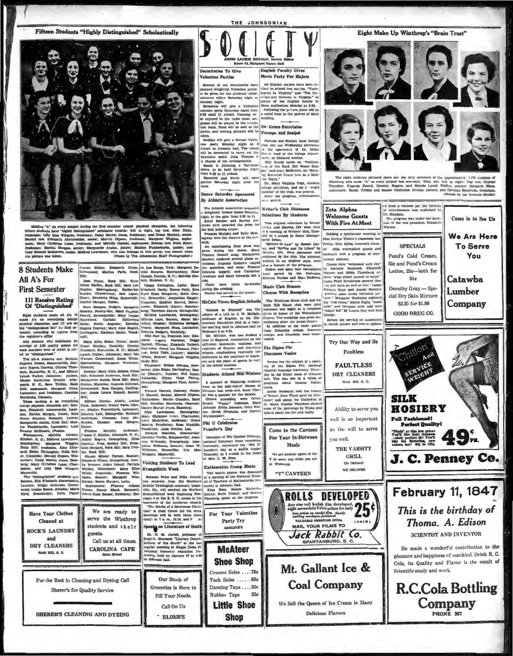Fifteen Students "Highly Distinguished" Scholastically





Euglish Faculty Gives Dormitories To Give Valentine Parties Movie Party For Majore **Valenting Farties:** All English majors have been in-<br>never a major of the determinents have All English majors have been in-<br>glanned eligible) with the indication parties (initial to series a comparison of the glannes of is then, we are the set of the spectrum of the party has included the party Monday algebra of the spectrum of the spectrum of the spectrum of the spectrum of the spectrum of the spectrum of the spectrum of the spectrum of college physician, and an *k* weight<br>member of the club, was press nt.<br>After the program, refrequencia

Meals

well is as important as the will to serve you well. THE VARSITY

> Ou Oakland WE DELIVER



We Sell the Queen of Ice Cream in Many **Delicious Flavors** 



The right students pictured above are the only members of the approximately 1470 students<br>Windtrep who made "A" on every subject has een este. They are, left to right : Top row, Crys<br>Theodove, Fugenia Powell, Dorothy Roger

d from a vacuum jar, the formula

r. Naudain.



## THE JOHNSONIAN